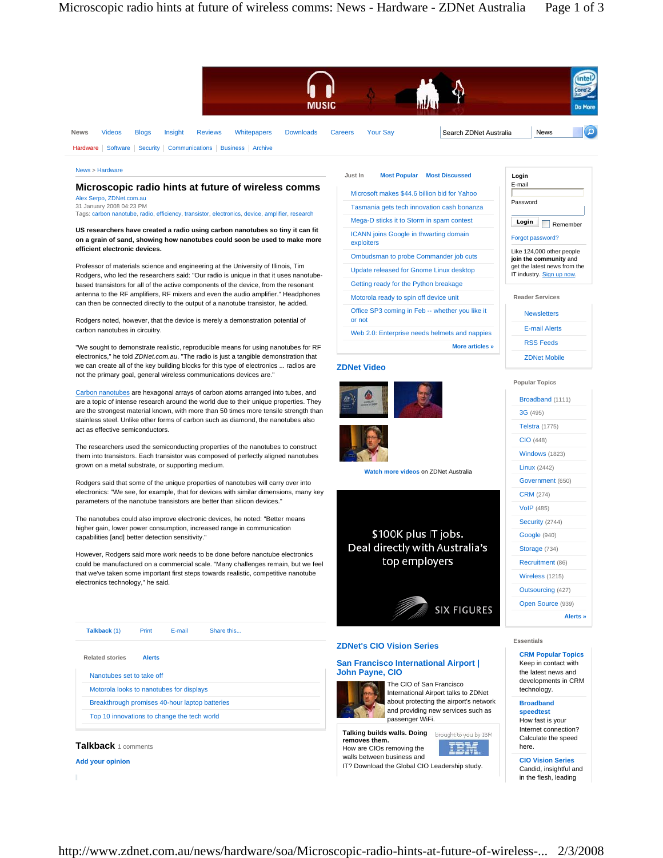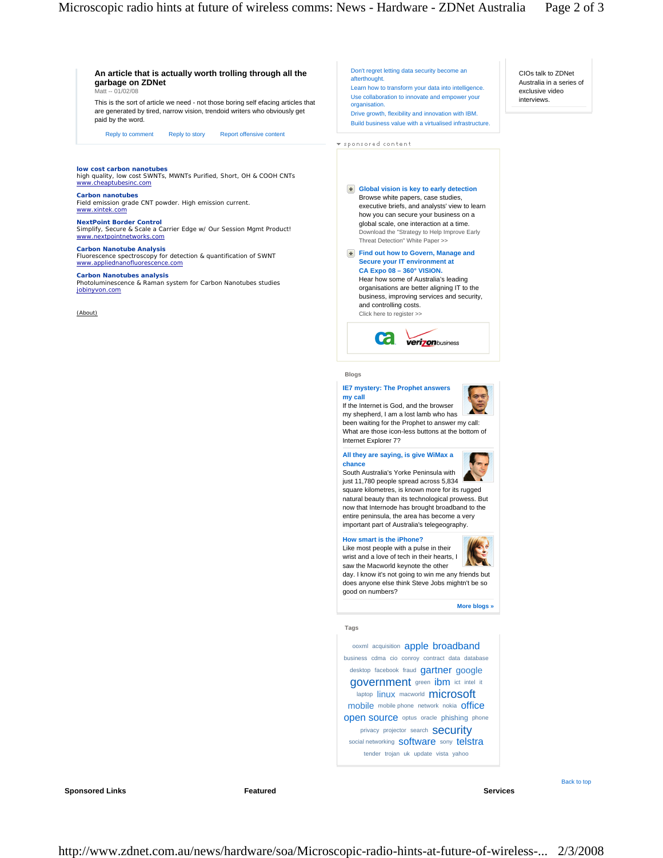CIOs talk to ZDNet Australia in a series of exclusive video interviews.

# **An article that is actually worth trolling through all the garbage on ZDNet**  Matt -- 01/02/08

This is the sort of article we need - not those boring self efacing articles that are generated by tired, narrow vision, trendoid writers who obviously get paid by the word.

Reply to comment Reply to story Report offensive content

**low cost carbon nanotubes** high quality, low cost SWNTs, MWNTs Purified, Short, OH & COOH CNTs www.cheaptubesinc.com

## **Carbon nanotubes** Field emission grade CNT powder. High emission current. www.xintek.com

**NextPoint Border Control** Simplify, Secure & Scale a Carrier Edge w/ Our Session Mgmt Product! www.nextpointnetworks.com

## **Carbon Nanotube Analysis** Fluorescence spectroscopy for detection & quantification of SWNT www.appliednanofluorescence.com

# **Carbon Nanotubes analysis**

Photoluminescence & Raman system for Carbon Nanotubes studies jobinyvon.com

(About)

Don't regret letting data security become an afterthought.

Learn how to transform your data into intelligence. Use collaboration to innovate and empower your organisation.

Drive growth, flexibility and innovation with IBM. Build business value with a virtualised infrastructure.

v sponsored content

# **Global vision is key to early detection** Download the "Strategy to Help Improve Early Threat Detection" White Paper >> Browse white papers, case studies, executive briefs, and analysts' view to learn how you can secure your business on a global scale, one interaction at a time.

**Find out how to Govern, Manage and Secure your IT environment at CA Expo 08 – 360° VISION.**

Click here to register >> Hear how some of Australia's leading organisations are better aligning IT to the business, improving services and security, and controlling costs.



### **Blogs**

# **IE7 mystery: The Prophet answers my call**

If the Internet is God, and the browser my shepherd, I am a lost lamb who has been waiting for the Prophet to answer my call: What are those icon-less buttons at the bottom of Internet Explorer 7?

## **All they are saying, is give WiMax a chance** South Australia's Yorke Peninsula with



just 11,780 people spread across 5,834 square kilometres, is known more for its rugged natural beauty than its technological prowess. But now that Internode has brought broadband to the entire peninsula, the area has become a very important part of Australia's telegeography.

## **How smart is the iPhone?**

Like most people with a pulse in their wrist and a love of tech in their hearts, I saw the Macworld keynote the other day. I know it's not going to win me any friends but does anyone else think Steve Jobs mightn't be so good on numbers?

**More blogs »** 

### **Tags**

ooxml acquisition apple broadband business cdma cio conroy contract data database desktop facebook fraud gartner google government green ibm ict intel it laptop linux macworld microsoft mobile mobile phone network nokia office **open source** optus oracle phishing phone privacy projector search **Security** social networking software sony telstra tender trojan uk update vista yahoo

**Sponsored Links** Services **Featured Services Services Services Services Services** 

Back to top